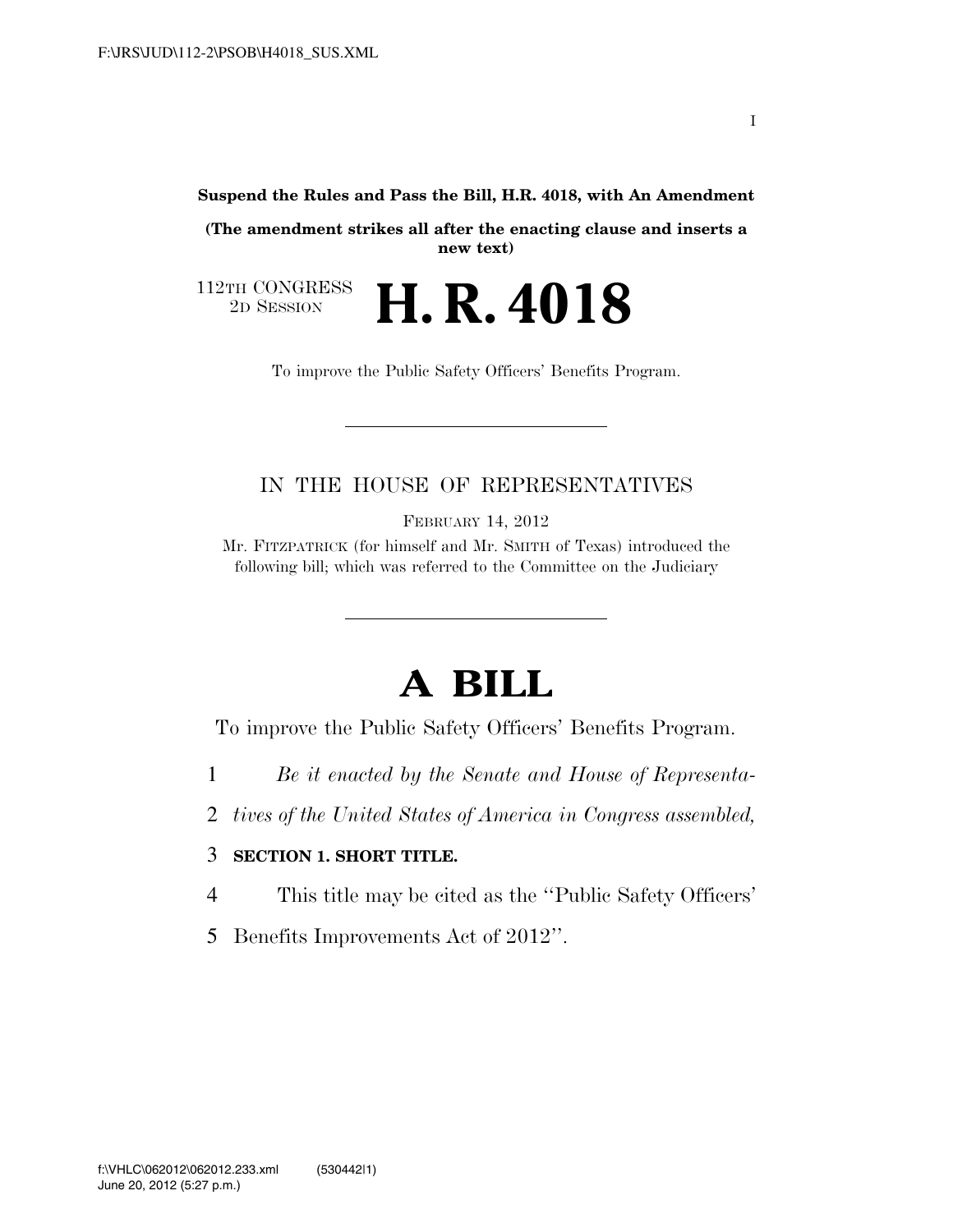**Suspend the Rules and Pass the Bill, H.R. 4018, with An Amendment** 

**(The amendment strikes all after the enacting clause and inserts a new text)** 

112TH CONGRESS<br>2D SESSION 2D SESSION **H. R. 4018**

To improve the Public Safety Officers' Benefits Program.

## IN THE HOUSE OF REPRESENTATIVES

FEBRUARY 14, 2012

Mr. FITZPATRICK (for himself and Mr. SMITH of Texas) introduced the following bill; which was referred to the Committee on the Judiciary

## **A BILL**

To improve the Public Safety Officers' Benefits Program.

- 1 *Be it enacted by the Senate and House of Representa-*
- 2 *tives of the United States of America in Congress assembled,*

## 3 **SECTION 1. SHORT TITLE.**

- 4 This title may be cited as the ''Public Safety Officers'
- 5 Benefits Improvements Act of 2012''.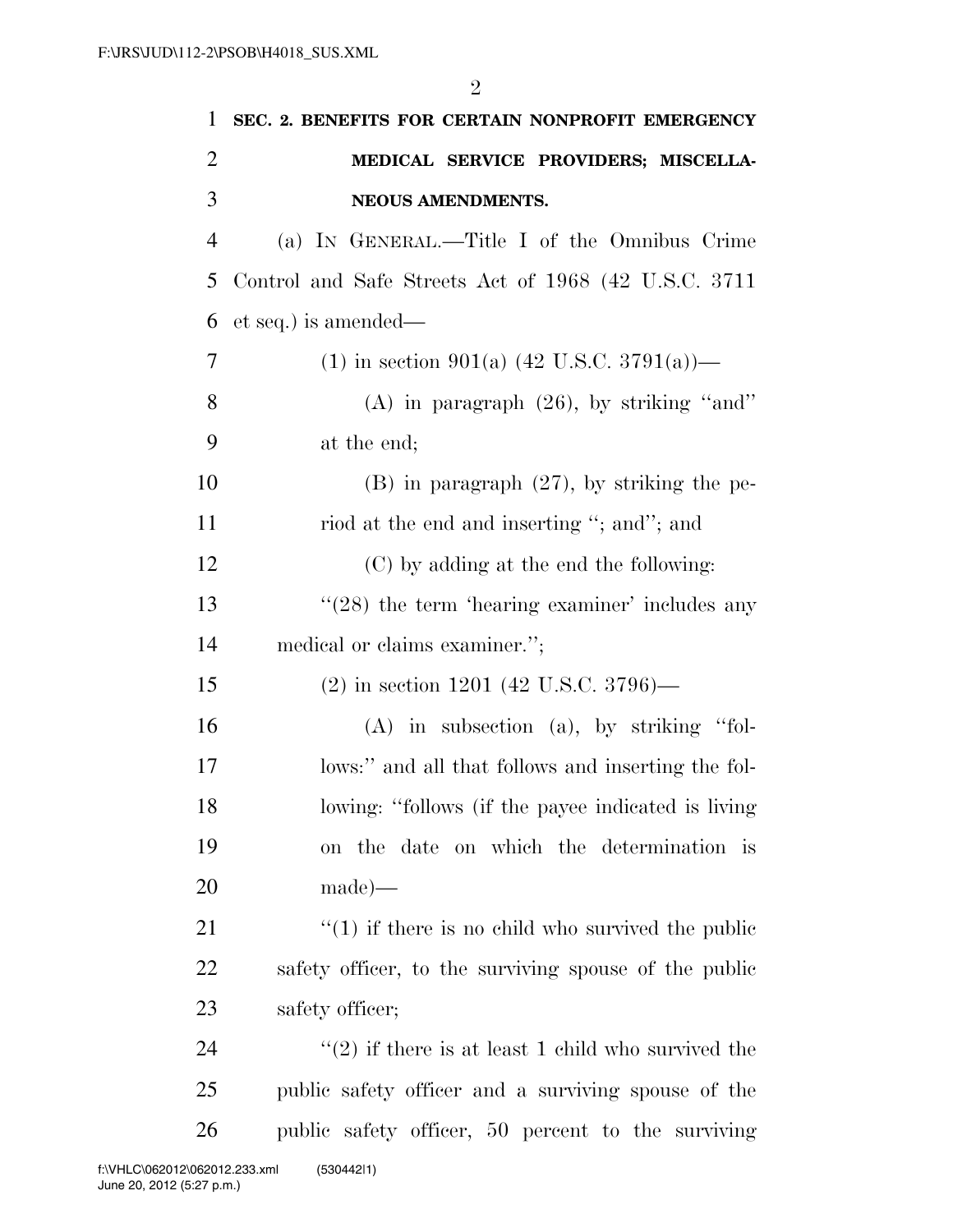| 1              | SEC. 2. BENEFITS FOR CERTAIN NONPROFIT EMERGENCY          |
|----------------|-----------------------------------------------------------|
| $\overline{2}$ | MEDICAL SERVICE PROVIDERS; MISCELLA-                      |
| 3              | NEOUS AMENDMENTS.                                         |
| 4              | (a) IN GENERAL.—Title I of the Omnibus Crime              |
| 5              | Control and Safe Streets Act of 1968 (42 U.S.C. 3711      |
| 6              | et seq.) is amended—                                      |
| 7              | (1) in section 901(a) $(42 \text{ U.S.C. } 3791(a))$ —    |
| 8              | (A) in paragraph $(26)$ , by striking "and"               |
| 9              | at the end;                                               |
| 10             | $(B)$ in paragraph $(27)$ , by striking the pe-           |
| 11             | riod at the end and inserting "; and"; and                |
| 12             | (C) by adding at the end the following:                   |
| 13             | $\cdot\cdot(28)$ the term 'hearing examiner' includes any |
| 14             | medical or claims examiner.";                             |
| 15             | $(2)$ in section 1201 (42 U.S.C. 3796)—                   |
| 16             | $(A)$ in subsection $(a)$ , by striking "fol-             |
| 17             | lows:" and all that follows and inserting the fol-        |
| 18             | lowing: "follows (if the payee indicated is living        |
| 19             | on the date on which the determination is                 |
| 20             | $made$ —                                                  |
| 21             | $\cdot$ (1) if there is no child who survived the public  |
| 22             | safety officer, to the surviving spouse of the public     |
| 23             | safety officer;                                           |
| 24             | "(2) if there is at least 1 child who survived the        |
| 25             | public safety officer and a surviving spouse of the       |
| 26             | public safety officer, 50 percent to the surviving        |
|                |                                                           |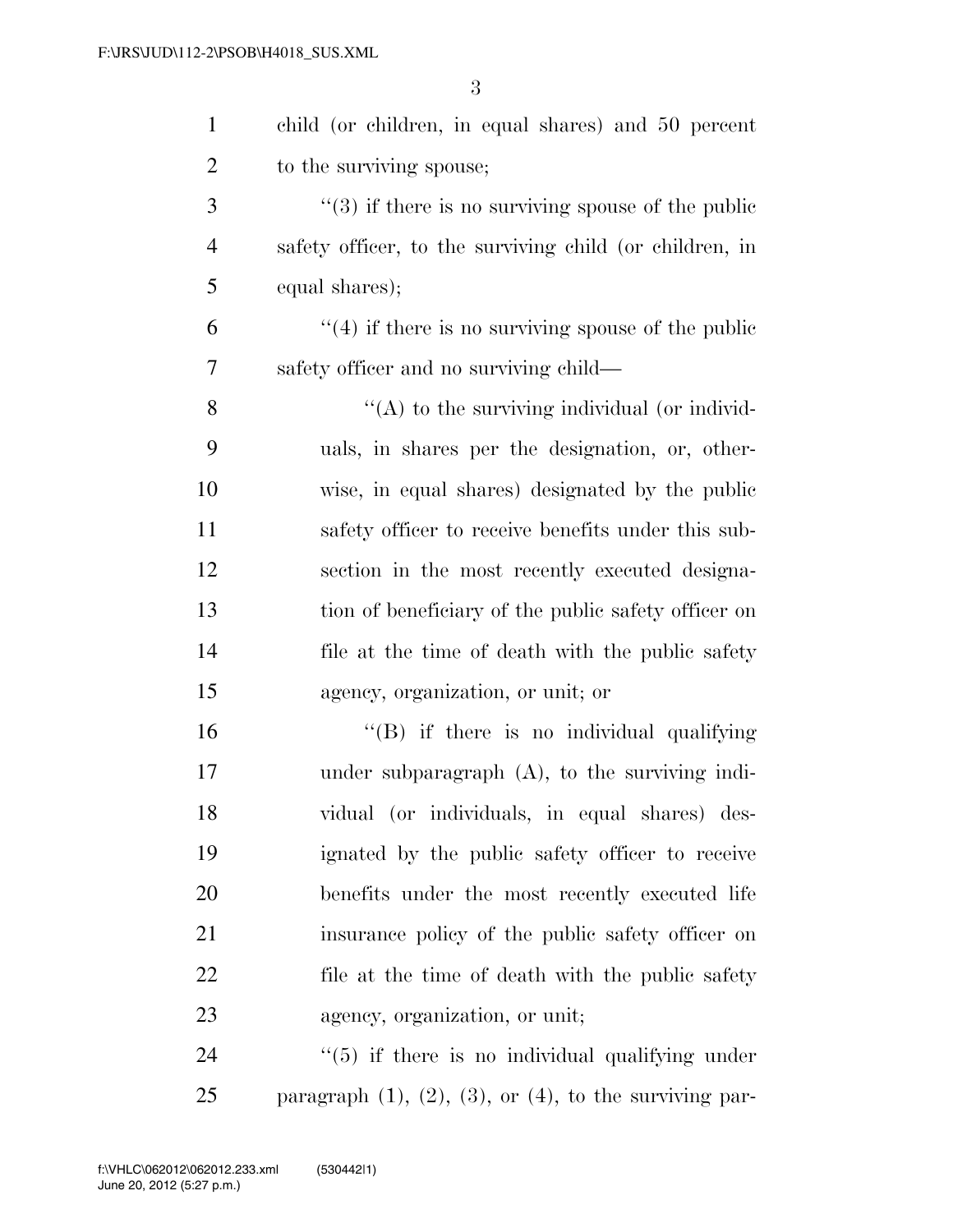| $\mathbf{1}$   | child (or children, in equal shares) and 50 percent            |
|----------------|----------------------------------------------------------------|
| $\overline{2}$ | to the surviving spouse;                                       |
| 3              | $\cdot\cdot$ (3) if there is no surviving spouse of the public |
| $\overline{4}$ | safety officer, to the surviving child (or children, in        |
| 5              | equal shares);                                                 |
| 6              | $\cdot$ (4) if there is no surviving spouse of the public      |
| 7              | safety officer and no surviving child—                         |
| $8\,$          | $\lq\lq$ to the surviving individual (or individ-              |
| 9              | uals, in shares per the designation, or, other-                |
| 10             | wise, in equal shares) designated by the public                |
| 11             | safety officer to receive benefits under this sub-             |
| 12             | section in the most recently executed designa-                 |
| 13             | tion of beneficiary of the public safety officer on            |
| 14             | file at the time of death with the public safety               |
| 15             | agency, organization, or unit; or                              |
| 16             | $\lq\lq(B)$ if there is no individual qualifying               |
| 17             | under subparagraph $(A)$ , to the surviving indi-              |
| 18             | vidual (or individuals, in equal shares) des-                  |
| 19             | ignated by the public safety officer to receive                |
| <b>20</b>      | benefits under the most recently executed life                 |
| 21             | insurance policy of the public safety officer on               |
| 22             | file at the time of death with the public safety               |
| 23             | agency, organization, or unit;                                 |
| 24             | $\cdot\cdot$ (5) if there is no individual qualifying under    |

25 paragraph  $(1)$ ,  $(2)$ ,  $(3)$ , or  $(4)$ , to the surviving par-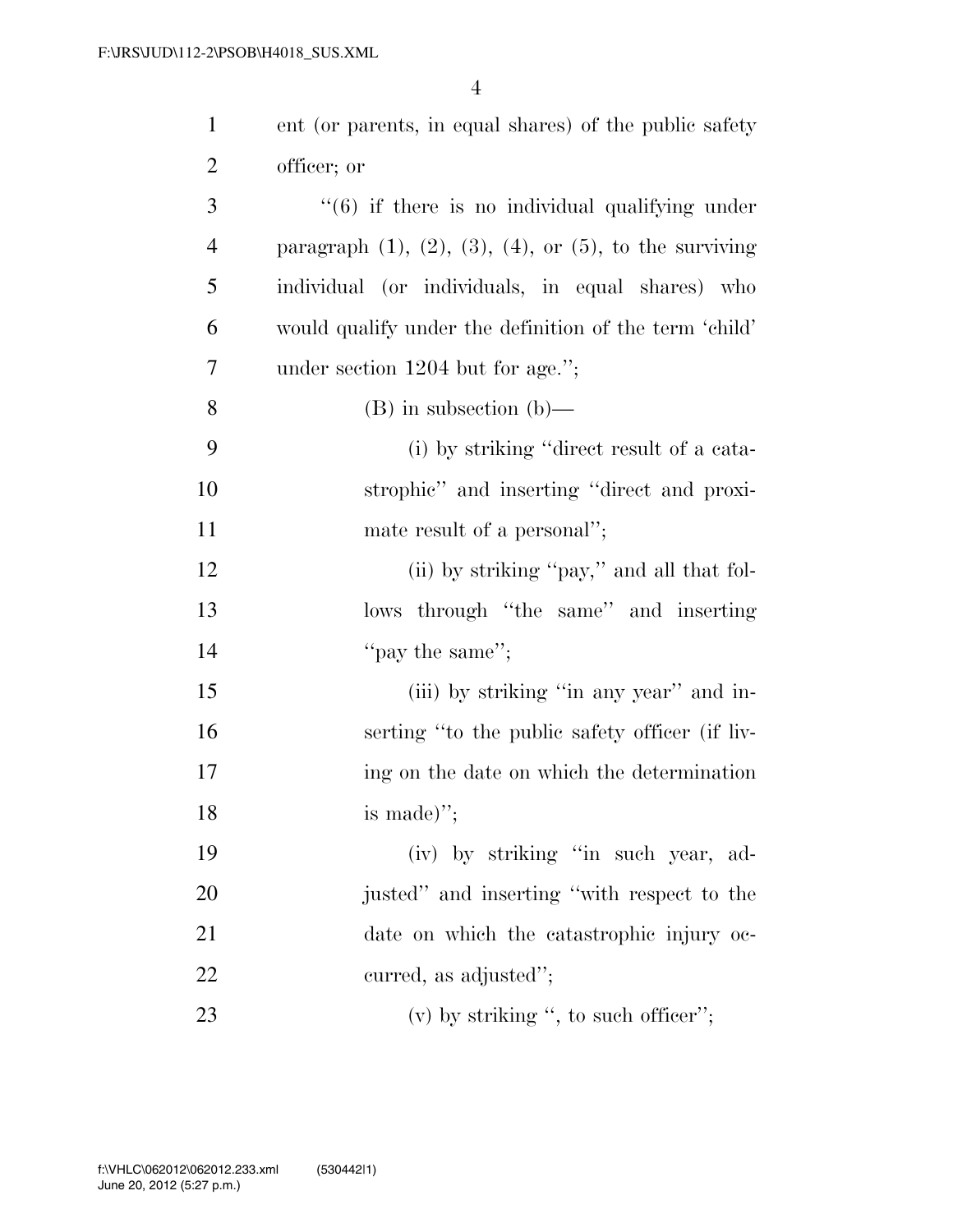| $\mathbf{1}$   | ent (or parents, in equal shares) of the public safety                |
|----------------|-----------------------------------------------------------------------|
| $\overline{2}$ | officer; or                                                           |
| 3              | $\cdot\cdot\cdot(6)$ if there is no individual qualifying under       |
| $\overline{4}$ | paragraph $(1)$ , $(2)$ , $(3)$ , $(4)$ , or $(5)$ , to the surviving |
| 5              | individual (or individuals, in equal shares) who                      |
| 6              | would qualify under the definition of the term 'child'                |
| 7              | under section $1204$ but for age.";                                   |
| 8              | $(B)$ in subsection $(b)$ —                                           |
| 9              | (i) by striking "direct result of a cata-                             |
| 10             | strophic" and inserting "direct and proxi-                            |
| 11             | mate result of a personal";                                           |
| 12             | (ii) by striking "pay," and all that fol-                             |
| 13             | lows through "the same" and inserting                                 |
| 14             | "pay the same";                                                       |
| 15             | (iii) by striking "in any year" and in-                               |
| 16             | serting "to the public safety officer (if liv-                        |
| 17             | ing on the date on which the determination                            |
| 18             | is made)";                                                            |
| 19             | (iv) by striking "in such year, ad-                                   |
| 20             | justed" and inserting "with respect to the                            |
| 21             | date on which the catastrophic injury oc-                             |
| 22             | curred, as adjusted";                                                 |
| 23             | (v) by striking ", to such officer";                                  |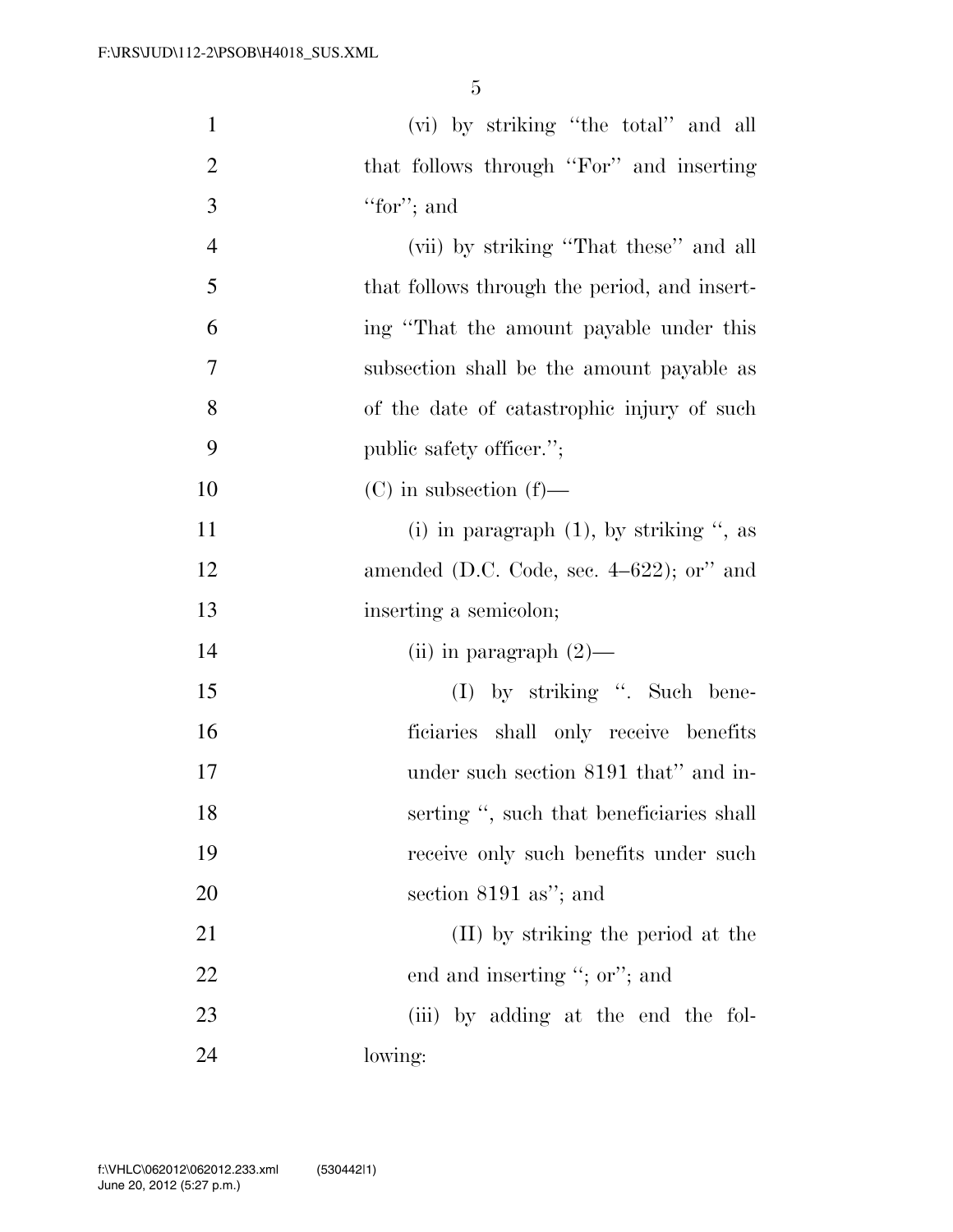| $\mathbf{1}$   | (vi) by striking "the total" and all         |
|----------------|----------------------------------------------|
| $\overline{2}$ | that follows through "For" and inserting     |
| 3              | "for"; and                                   |
| $\overline{4}$ | (vii) by striking "That these" and all       |
| 5              | that follows through the period, and insert- |
| 6              | ing "That the amount payable under this      |
| 7              | subsection shall be the amount payable as    |
| 8              | of the date of catastrophic injury of such   |
| 9              | public safety officer.";                     |
| 10             | $(C)$ in subsection $(f)$ —                  |
| 11             | (i) in paragraph $(1)$ , by striking ", as   |
| 12             | amended (D.C. Code, sec. $4-622$ ); or" and  |
| 13             | inserting a semicolon;                       |
| 14             | (ii) in paragraph $(2)$ —                    |
| 15             | (I) by striking ". Such bene-                |
| 16             | ficiaries shall only receive benefits        |
| 17             | under such section 8191 that" and in-        |
| 18             | serting ", such that beneficiaries shall     |
| 19             | receive only such benefits under such        |
| 20             | section $8191$ as"; and                      |
| 21             | (II) by striking the period at the           |
| 22             | end and inserting "; or"; and                |
| 23             | (iii) by adding at the end the fol-          |
| 24             | lowing:                                      |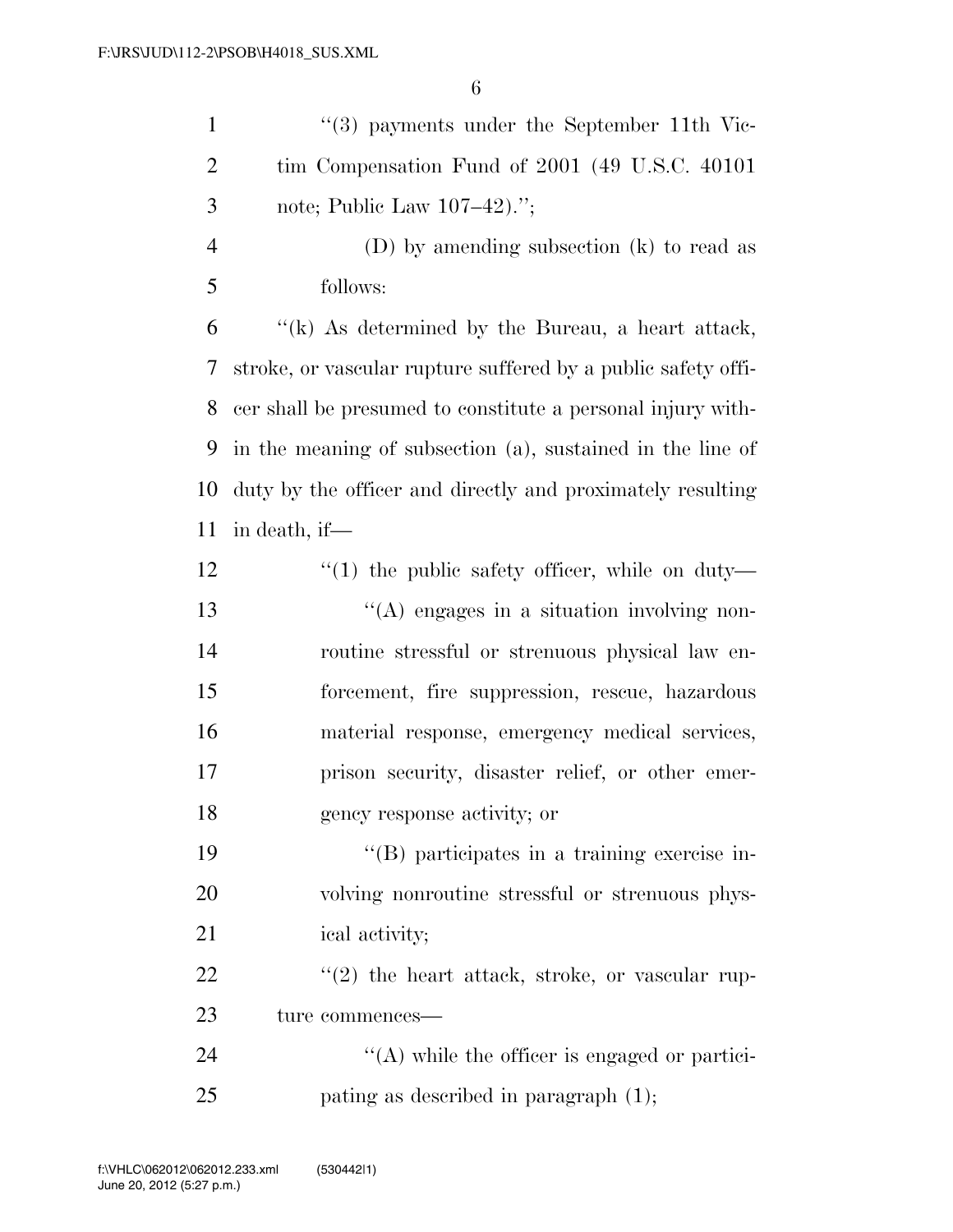| $\mathbf{1}$   | $\lq(3)$ payments under the September 11th Vic-               |
|----------------|---------------------------------------------------------------|
| $\overline{2}$ | tim Compensation Fund of 2001 (49 U.S.C. 40101)               |
| 3              | note; Public Law $107-42$ .";                                 |
| $\overline{4}$ | (D) by amending subsection (k) to read as                     |
| 5              | follows:                                                      |
| 6              | $f'(k)$ As determined by the Bureau, a heart attack,          |
| 7              | stroke, or vascular rupture suffered by a public safety offi- |
| 8              | cer shall be presumed to constitute a personal injury with-   |
| 9              | in the meaning of subsection (a), sustained in the line of    |
| 10             | duty by the officer and directly and proximately resulting    |
| 11             | in death, if—                                                 |
| 12             | $\lq(1)$ the public safety officer, while on duty—            |
| 13             | $\lq\lq$ engages in a situation involving non-                |
| 14             | routine stressful or strenuous physical law en-               |
| 15             | forcement, fire suppression, rescue, hazardous                |
| 16             | material response, emergency medical services,                |
| 17             | prison security, disaster relief, or other emer-              |
| 18             | gency response activity; or                                   |
| 19             | "(B) participates in a training exercise in-                  |
| 20             | volving nonroutine stressful or strenuous phys-               |
| 21             | ical activity;                                                |
| 22             | $\lq(2)$ the heart attack, stroke, or vascular rup-           |
| 23             | ture commences-                                               |
| 24             | $\lq\lq$ while the officer is engaged or partici-             |
| 25             | pating as described in paragraph $(1)$ ;                      |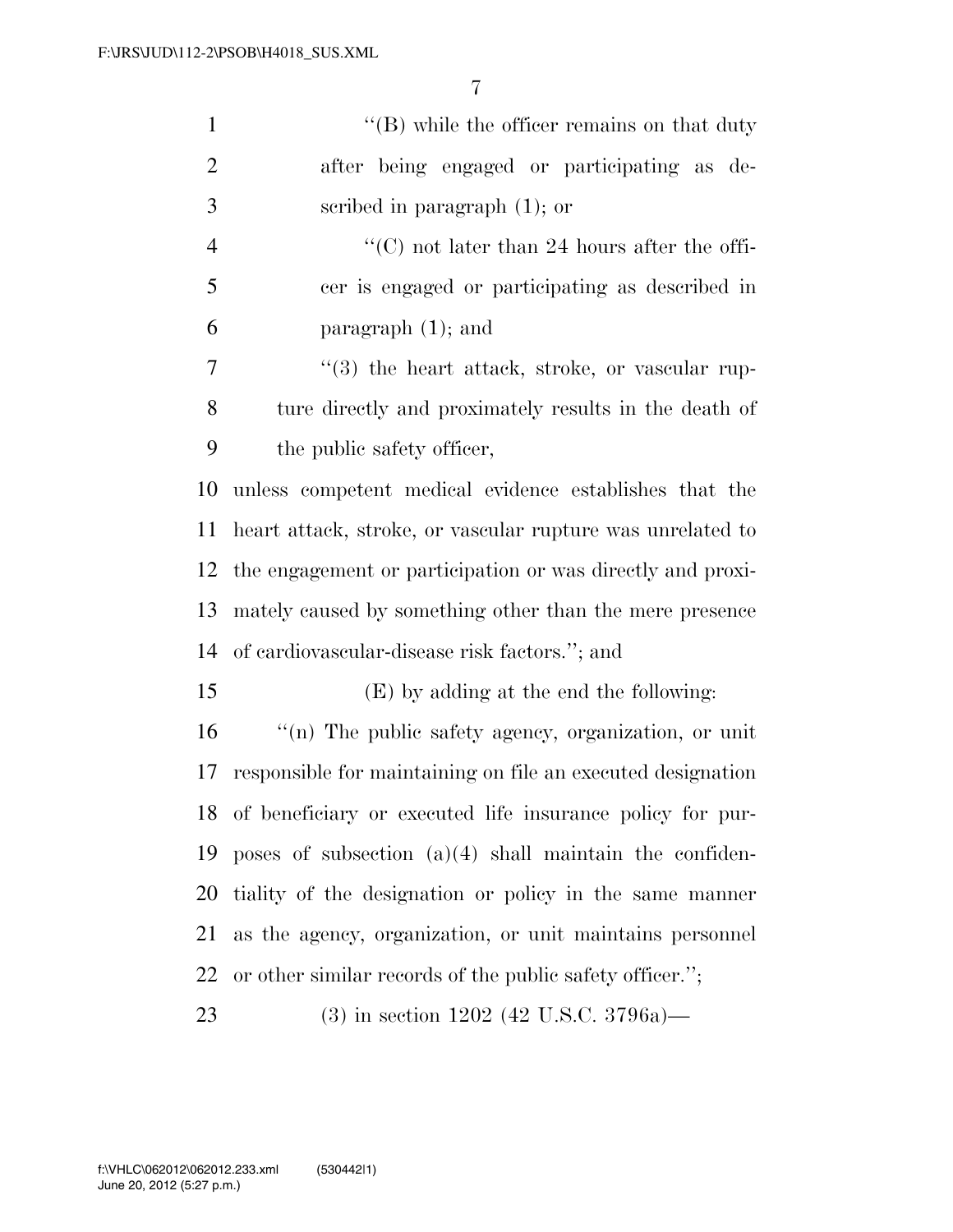| $\mathbf{1}$   | $\lq\lq$ while the officer remains on that duty              |
|----------------|--------------------------------------------------------------|
| $\overline{2}$ | after being engaged or participating as de-                  |
| 3              | scribed in paragraph $(1)$ ; or                              |
| $\overline{4}$ | "(C) not later than 24 hours after the offi-                 |
| 5              | cer is engaged or participating as described in              |
| 6              | paragraph $(1)$ ; and                                        |
| 7              | "(3) the heart attack, stroke, or vascular rup-              |
| 8              | ture directly and proximately results in the death of        |
| 9              | the public safety officer,                                   |
| 10             | unless competent medical evidence establishes that the       |
| 11             | heart attack, stroke, or vascular rupture was unrelated to   |
| 12             | the engagement or participation or was directly and proxi-   |
| 13             | mately caused by something other than the mere presence      |
| 14             | of cardiovascular-disease risk factors."; and                |
| 15             | (E) by adding at the end the following:                      |
| 16             | "(n) The public safety agency, organization, or unit         |
| 17             | responsible for maintaining on file an executed designation  |
|                | 18 of beneficiary or executed life insurance policy for pur- |
| 19             | poses of subsection $(a)(4)$ shall maintain the confiden-    |
| 20             | tiality of the designation or policy in the same manner      |
| 21             | as the agency, organization, or unit maintains personnel     |
| 22             | or other similar records of the public safety officer.";     |
| 23             | $(3)$ in section 1202 (42 U.S.C. 3796a)—                     |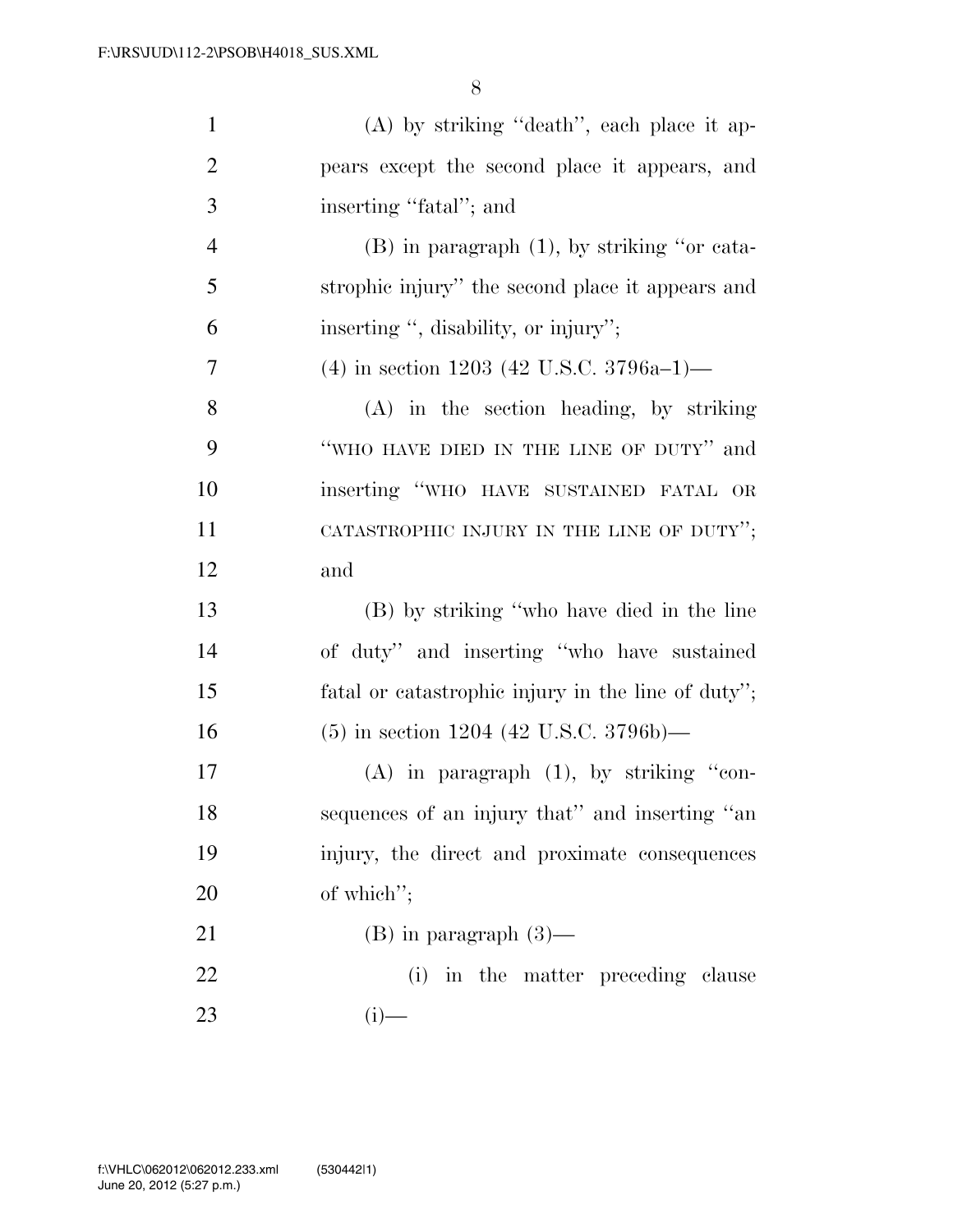| $\mathbf{1}$   | $(A)$ by striking "death", each place it ap-       |
|----------------|----------------------------------------------------|
| $\overline{2}$ | pears except the second place it appears, and      |
| 3              | inserting "fatal"; and                             |
| $\overline{4}$ | $(B)$ in paragraph $(1)$ , by striking "or cata-   |
| 5              | strophic injury" the second place it appears and   |
| 6              | inserting ", disability, or injury";               |
| 7              | $(4)$ in section 1203 (42 U.S.C. 3796a-1)—         |
| 8              | $(A)$ in the section heading, by striking          |
| 9              | "WHO HAVE DIED IN THE LINE OF DUTY" and            |
| 10             | inserting "WHO HAVE SUSTAINED FATAL OR             |
| 11             | CATASTROPHIC INJURY IN THE LINE OF DUTY";          |
| 12             | and                                                |
| 13             | (B) by striking "who have died in the line         |
| 14             | of duty" and inserting "who have sustained         |
| 15             | fatal or catastrophic injury in the line of duty"; |
| 16             | $(5)$ in section 1204 (42 U.S.C. 3796b)—           |
| 17             | $(A)$ in paragraph $(1)$ , by striking "con-       |
| 18             | sequences of an injury that" and inserting "an     |
| 19             | injury, the direct and proximate consequences      |
| 20             | of which";                                         |
| 21             | $(B)$ in paragraph $(3)$ —                         |
| 22             | (i) in the matter preceding clause                 |
| 23             | $(i)$ —                                            |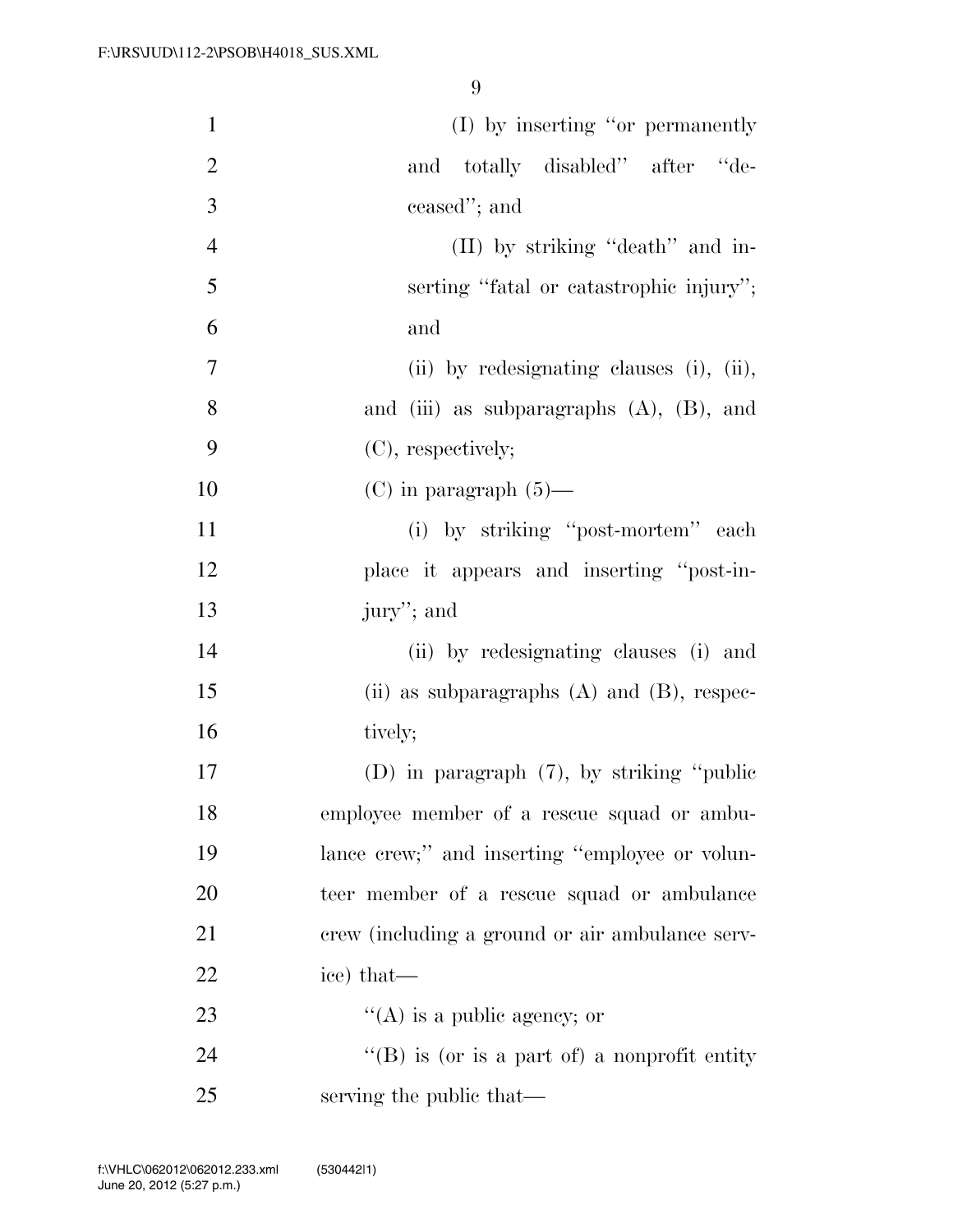| $\mathbf{1}$   | $(I)$ by inserting "or permanently"              |
|----------------|--------------------------------------------------|
| $\overline{2}$ | and totally disabled" after "de-                 |
| 3              | ceased"; and                                     |
| $\overline{4}$ | (II) by striking "death" and in-                 |
| 5              | serting "fatal or catastrophic injury";          |
| 6              | and                                              |
| 7              | $(ii)$ by redesignating clauses $(i)$ , $(ii)$ , |
| 8              | and (iii) as subparagraphs $(A)$ , $(B)$ , and   |
| 9              | (C), respectively;                               |
| 10             | $(C)$ in paragraph $(5)$ —                       |
| 11             | (i) by striking "post-mortem" each               |
| 12             | place it appears and inserting "post-in-         |
| 13             | jury"; and                                       |
| 14             | (ii) by redesignating clauses (i) and            |
| 15             | (ii) as subparagraphs $(A)$ and $(B)$ , respec-  |
| 16             | tively;                                          |
| 17             | (D) in paragraph $(7)$ , by striking "public     |
| 18             | employee member of a rescue squad or ambu-       |
| 19             | lance crew;" and inserting "employee or volun-   |
| 20             | teer member of a rescue squad or ambulance       |
| 21             | crew (including a ground or air ambulance serv-  |
| 22             | ice) that—                                       |
| 23             | $\lq\lq$ (A) is a public agency; or              |
| 24             | "(B) is (or is a part of) a nonprofit entity     |
| 25             | serving the public that—                         |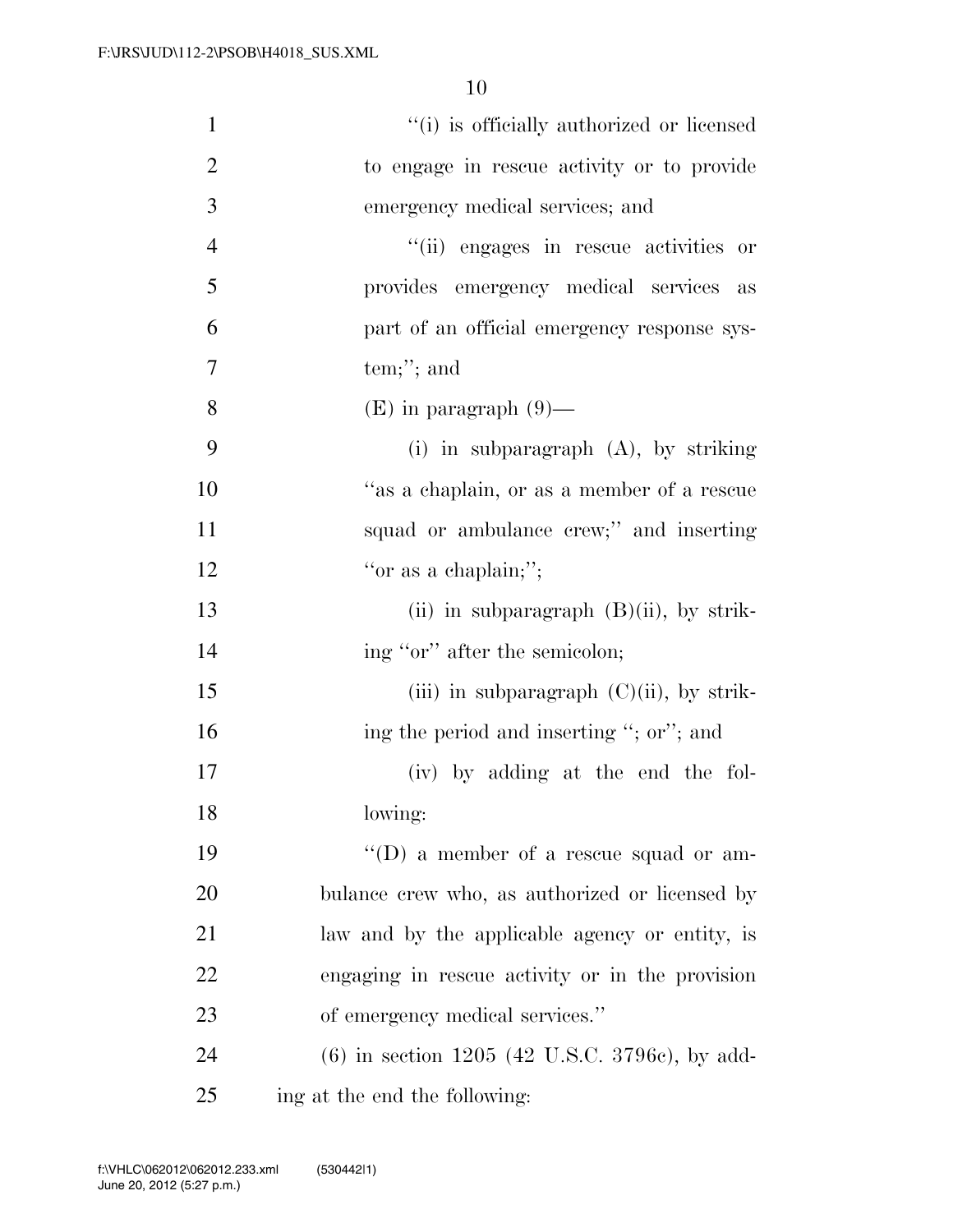| $\mathbf{1}$   | "(i) is officially authorized or licensed        |
|----------------|--------------------------------------------------|
| $\overline{2}$ | to engage in rescue activity or to provide       |
| 3              | emergency medical services; and                  |
| $\overline{4}$ | "(ii) engages in rescue activities or            |
| 5              | provides emergency medical services<br>as        |
| 6              | part of an official emergency response sys-      |
| 7              | $tem;$ "; and                                    |
| 8              | $(E)$ in paragraph $(9)$ —                       |
| 9              | (i) in subparagraph $(A)$ , by striking          |
| 10             | "as a chaplain, or as a member of a rescue       |
| 11             | squad or ambulance crew;" and inserting          |
| 12             | "or as a chaplain;";                             |
| 13             | (ii) in subparagraph $(B)(ii)$ , by strik-       |
| 14             | ing "or" after the semicolon;                    |
| 15             | (iii) in subparagraph $(C)(ii)$ , by strik-      |
| 16             | ing the period and inserting "; or"; and         |
| 17             | (iv) by adding at the end the fol-               |
| 18             | lowing:                                          |
| 19             | $\lq\lq$ (D) a member of a rescue squad or am-   |
| 20             | bulance crew who, as authorized or licensed by   |
| 21             | law and by the applicable agency or entity, is   |
| 22             | engaging in rescue activity or in the provision  |
| 23             | of emergency medical services."                  |
| 24             | $(6)$ in section 1205 (42 U.S.C. 3796c), by add- |
| 25             | ing at the end the following:                    |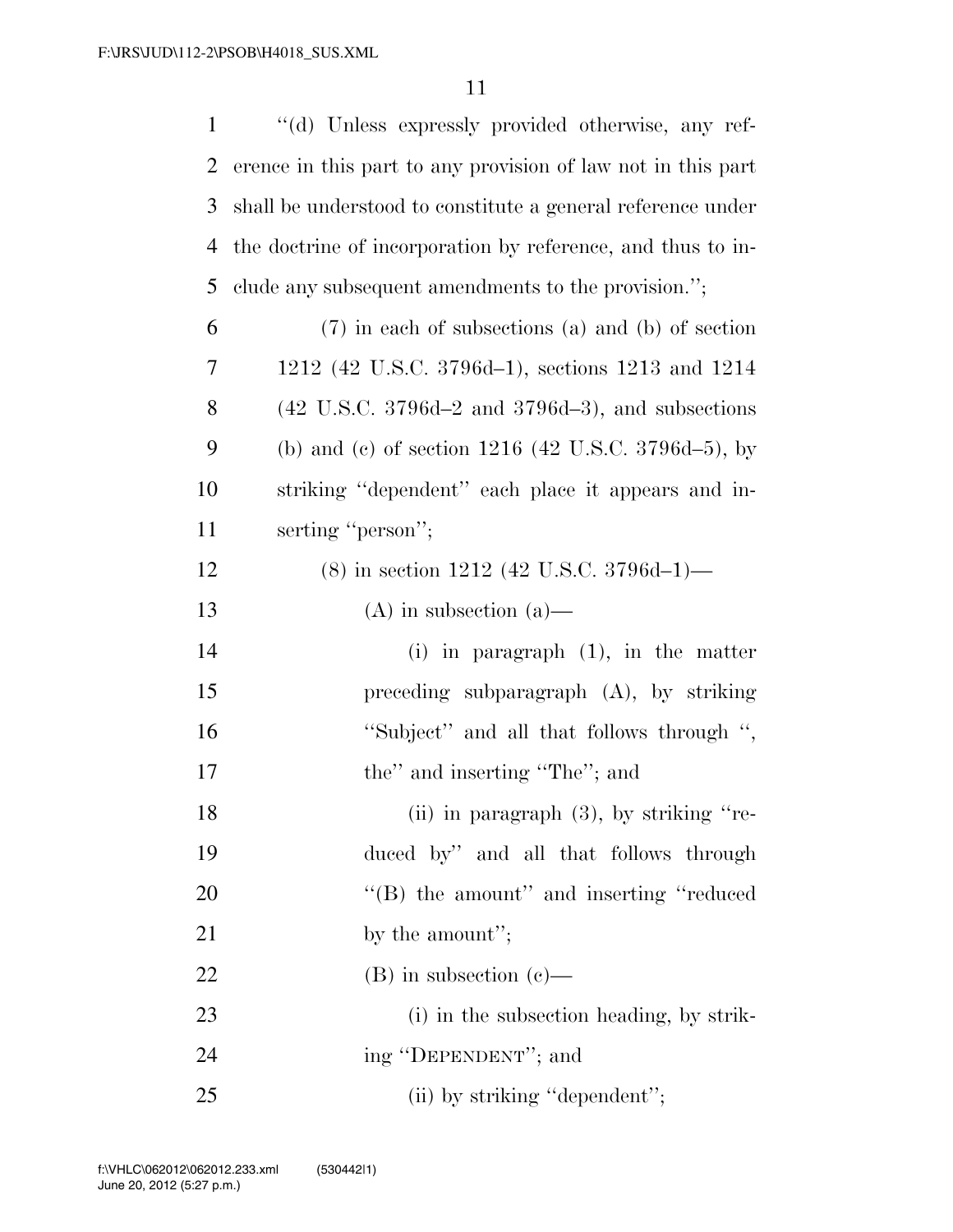| $\mathbf{1}$ | "(d) Unless expressly provided otherwise, any ref-                        |
|--------------|---------------------------------------------------------------------------|
| 2            | erence in this part to any provision of law not in this part              |
| 3            | shall be understood to constitute a general reference under               |
| 4            | the doctrine of incorporation by reference, and thus to in-               |
| 5            | clude any subsequent amendments to the provision.";                       |
| 6            | $(7)$ in each of subsections (a) and (b) of section                       |
| 7            | 1212 (42 U.S.C. 3796d–1), sections 1213 and 1214                          |
| 8            | $(42 \text{ U.S.C. } 3796d - 2 \text{ and } 3796d - 3)$ , and subsections |
| 9            | (b) and (c) of section $1216$ (42 U.S.C. 3796d–5), by                     |
| 10           | striking "dependent" each place it appears and in-                        |
| 11           | serting "person";                                                         |
| 12           | $(8)$ in section 1212 (42 U.S.C. 3796d-1)—                                |
| 13           | $(A)$ in subsection $(a)$ —                                               |
| 14           | (i) in paragraph $(1)$ , in the matter                                    |
| 15           | preceding subparagraph $(A)$ , by striking                                |
| 16           | "Subject" and all that follows through ",                                 |
| 17           | the" and inserting "The"; and                                             |
| 18           | $(iii)$ in paragraph $(3)$ , by striking "re-                             |
| 19           | duced by" and all that follows through                                    |
| 20           | "(B) the amount" and inserting "reduced"                                  |
| 21           | by the amount";                                                           |
| 22           | $(B)$ in subsection $(c)$ —                                               |
| 23           | (i) in the subsection heading, by strik-                                  |
| 24           | ing "DEPENDENT"; and                                                      |
| 25           | (ii) by striking "dependent";                                             |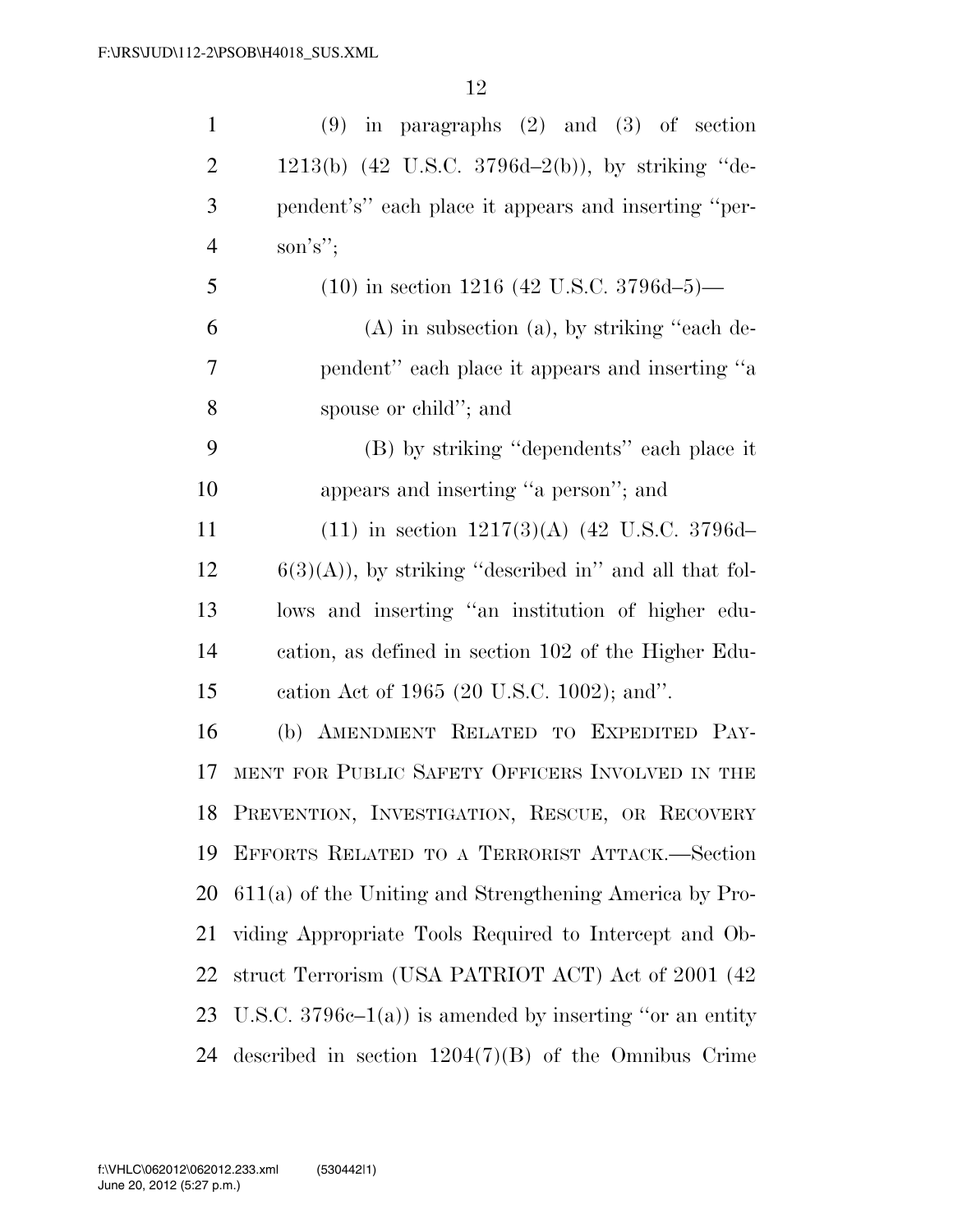| $\mathbf{1}$   | $(9)$ in paragraphs $(2)$ and $(3)$ of section               |
|----------------|--------------------------------------------------------------|
| $\overline{2}$ | 1213(b) $(42 \text{ U.S.C. } 3796d-2(b))$ , by striking "de- |
| 3              | pendent's" each place it appears and inserting "per-         |
| $\overline{4}$ | son's";                                                      |
| 5              | $(10)$ in section 1216 (42 U.S.C. 3796d-5)—                  |
| 6              | $(A)$ in subsection $(a)$ , by striking "each de-            |
| 7              | pendent" each place it appears and inserting "a              |
| 8              | spouse or child"; and                                        |
| 9              | (B) by striking "dependents" each place it                   |
| 10             | appears and inserting "a person"; and                        |
| 11             | $(11)$ in section $1217(3)(A)$ $(42 \text{ U.S.C. } 3796d-$  |
| 12             | $6(3)(A)$ , by striking "described in" and all that fol-     |
| 13             | lows and inserting "an institution of higher edu-            |
| 14             | cation, as defined in section 102 of the Higher Edu-         |
| 15             | cation Act of 1965 (20 U.S.C. 1002); and".                   |
| 16             | (b) AMENDMENT RELATED TO EXPEDITED PAY-                      |
| 17             | MENT FOR PUBLIC SAFETY OFFICERS INVOLVED IN THE              |
| 18             | PREVENTION, INVESTIGATION, RESCUE, OR RECOVERY               |
| 19             | EFFORTS RELATED TO A TERRORIST ATTACK.-Section               |
| 20             | $611(a)$ of the Uniting and Strengthening America by Pro-    |
| 21             | viding Appropriate Tools Required to Intercept and Ob-       |
| 22             | struct Terrorism (USA PATRIOT ACT) Act of 2001 (42)          |
| 23             | U.S.C. $3796e-1(a)$ is amended by inserting "or an entity"   |
| 24             | described in section $1204(7)(B)$ of the Omnibus Crime       |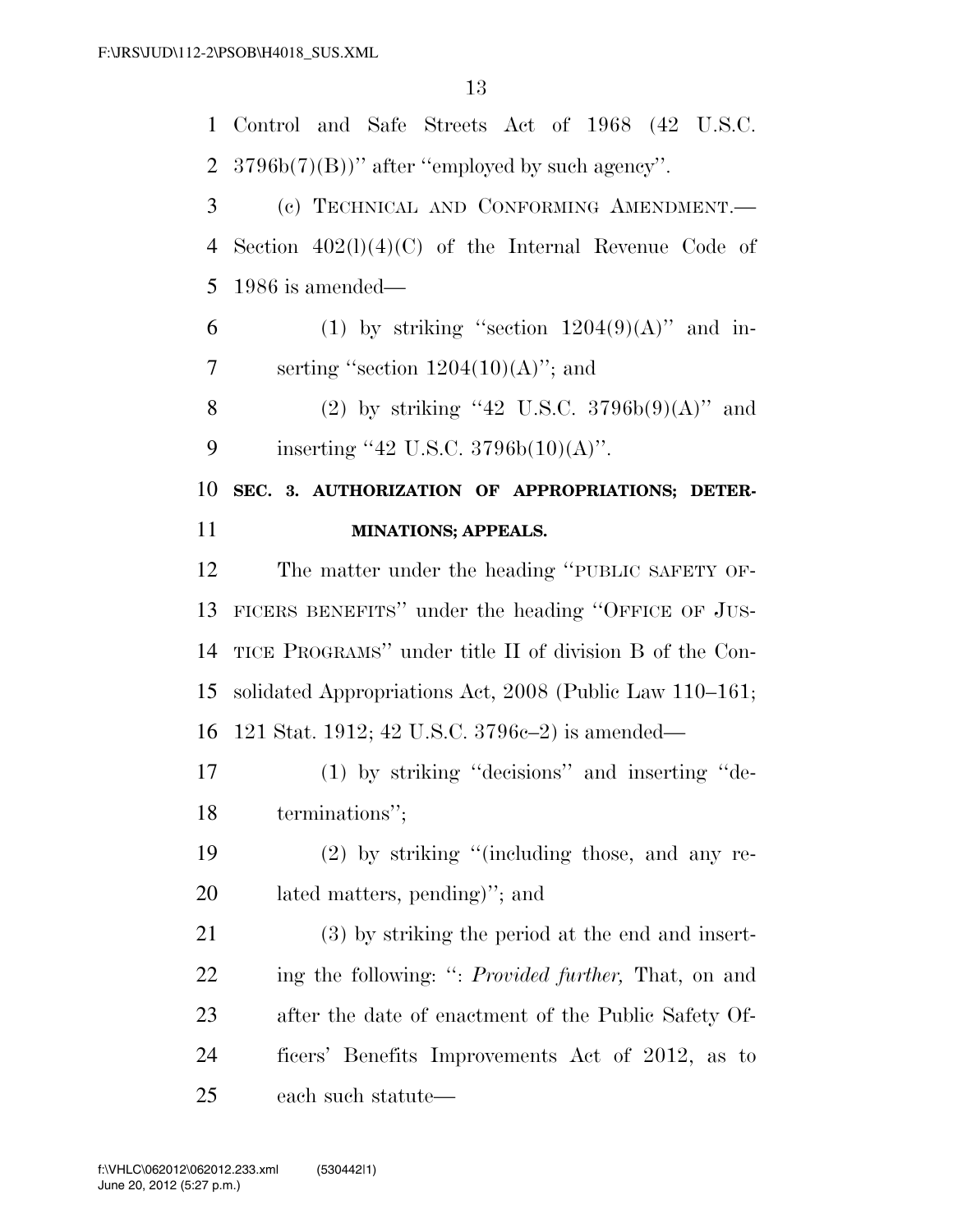Control and Safe Streets Act of 1968 (42 U.S.C. 2  $3796b(7)(B)$ " after "employed by such agency".

 (c) TECHNICAL AND CONFORMING AMENDMENT.— Section 402(l)(4)(C) of the Internal Revenue Code of 1986 is amended—

6 (1) by striking "section  $1204(9)(\mathrm{A})$ " and in-7 serting "section  $1204(10)(\text{A})$ "; and

8 (2) by striking "42 U.S.C.  $3796b(9)(A)$ " and 9 inserting "42 U.S.C.  $3796b(10)(A)$ ".

 **SEC. 3. AUTHORIZATION OF APPROPRIATIONS; DETER-MINATIONS; APPEALS.** 

 The matter under the heading ''PUBLIC SAFETY OF- FICERS BENEFITS'' under the heading ''OFFICE OF JUS- TICE PROGRAMS'' under title II of division B of the Con- solidated Appropriations Act, 2008 (Public Law 110–161; 121 Stat. 1912; 42 U.S.C. 3796c–2) is amended—

 (1) by striking ''decisions'' and inserting ''de-terminations'';

 (2) by striking ''(including those, and any re-lated matters, pending)''; and

 (3) by striking the period at the end and insert- ing the following: '': *Provided further,* That, on and after the date of enactment of the Public Safety Of- ficers' Benefits Improvements Act of 2012, as to each such statute—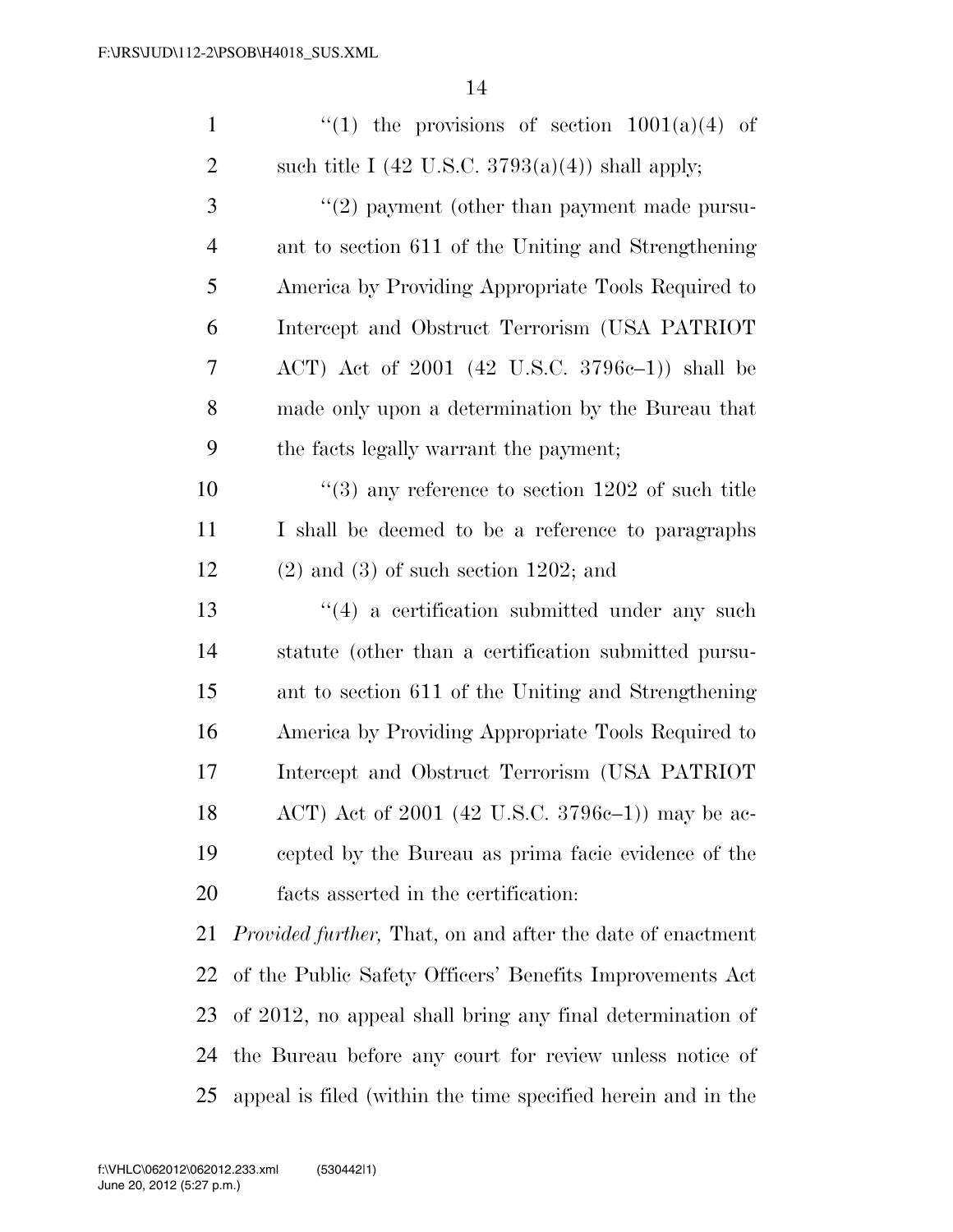| $\mathbf{1}$   | "(1) the provisions of section $1001(a)(4)$ of                     |
|----------------|--------------------------------------------------------------------|
| $\overline{2}$ | such title I (42 U.S.C. 3793(a)(4)) shall apply;                   |
| 3              | $\lq(2)$ payment (other than payment made pursu-                   |
| $\overline{4}$ | ant to section 611 of the Uniting and Strengthening                |
| 5              | America by Providing Appropriate Tools Required to                 |
| 6              | Intercept and Obstruct Terrorism (USA PATRIOT                      |
| 7              | ACT) Act of $2001$ (42 U.S.C. 3796c-1)) shall be                   |
| 8              | made only upon a determination by the Bureau that                  |
| 9              | the facts legally warrant the payment;                             |
| 10             | $(3)$ any reference to section 1202 of such title                  |
| 11             | I shall be deemed to be a reference to paragraphs                  |
| 12             | $(2)$ and $(3)$ of such section 1202; and                          |
| 13             | $(4)$ a certification submitted under any such                     |
| 14             | statute (other than a certification submitted pursu-               |
| 15             | ant to section 611 of the Uniting and Strengthening                |
| 16             | America by Providing Appropriate Tools Required to                 |
| 17             | Intercept and Obstruct Terrorism (USA PATRIOT                      |
| 18             | ACT) Act of 2001 (42 U.S.C. 3796 $e-1$ )) may be ac-               |
| 19             | cepted by the Bureau as prima facie evidence of the                |
| 20             | facts asserted in the certification:                               |
| 21             | <i>Provided further</i> , That, on and after the date of enactment |
| 22             | of the Public Safety Officers' Benefits Improvements Act           |
| 23             | of 2012, no appeal shall bring any final determination of          |
| 24             | the Bureau before any court for review unless notice of            |
| 25             | appeal is filed (within the time specified herein and in the       |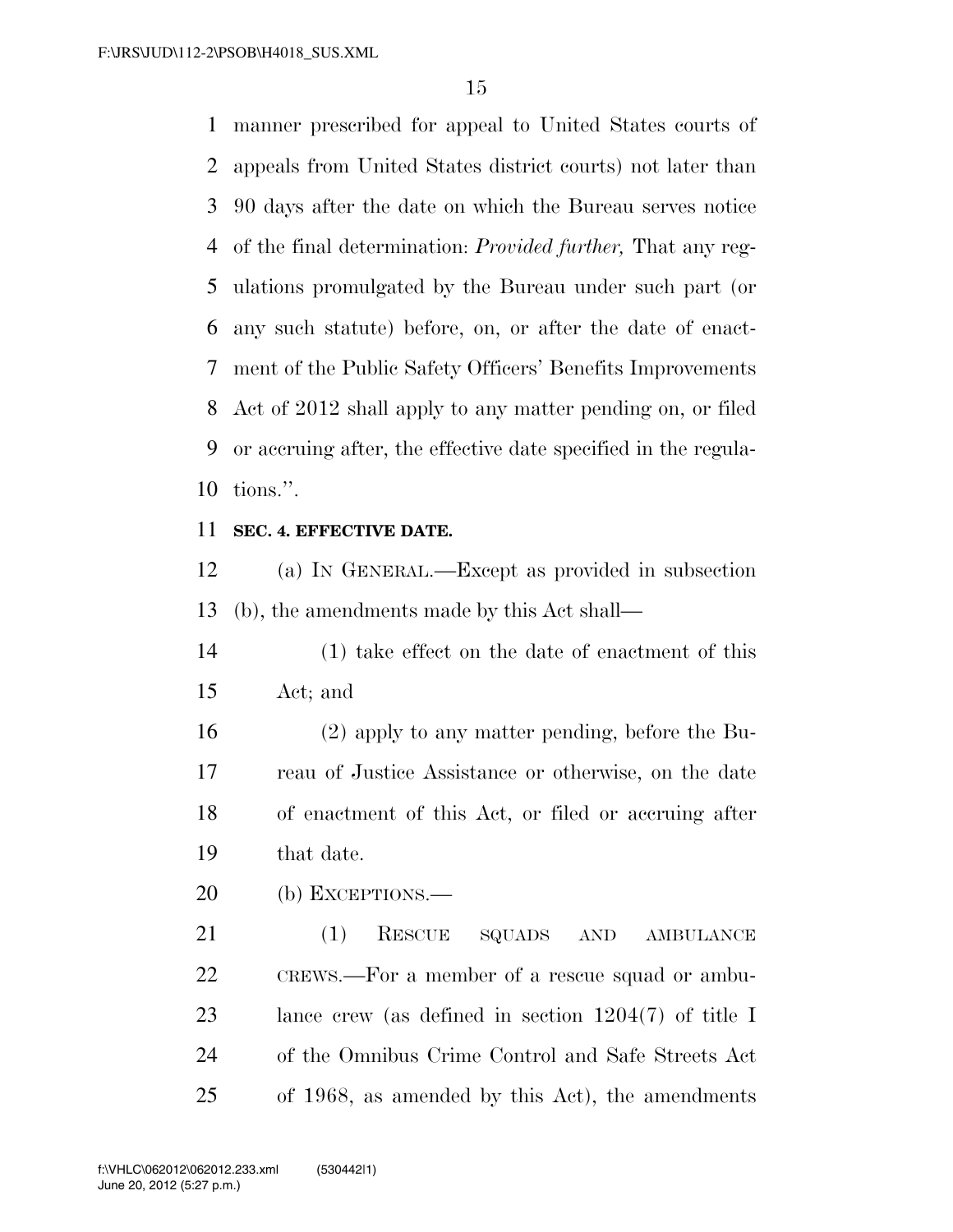manner prescribed for appeal to United States courts of appeals from United States district courts) not later than 90 days after the date on which the Bureau serves notice of the final determination: *Provided further,* That any reg- ulations promulgated by the Bureau under such part (or any such statute) before, on, or after the date of enact- ment of the Public Safety Officers' Benefits Improvements Act of 2012 shall apply to any matter pending on, or filed or accruing after, the effective date specified in the regula-tions.''.

## **SEC. 4. EFFECTIVE DATE.**

 (a) IN GENERAL.—Except as provided in subsection (b), the amendments made by this Act shall—

 (1) take effect on the date of enactment of this Act; and

 (2) apply to any matter pending, before the Bu- reau of Justice Assistance or otherwise, on the date of enactment of this Act, or filed or accruing after that date.

(b) EXCEPTIONS.—

 (1) RESCUE SQUADS AND AMBULANCE CREWS.—For a member of a rescue squad or ambu- lance crew (as defined in section 1204(7) of title I of the Omnibus Crime Control and Safe Streets Act of 1968, as amended by this Act), the amendments